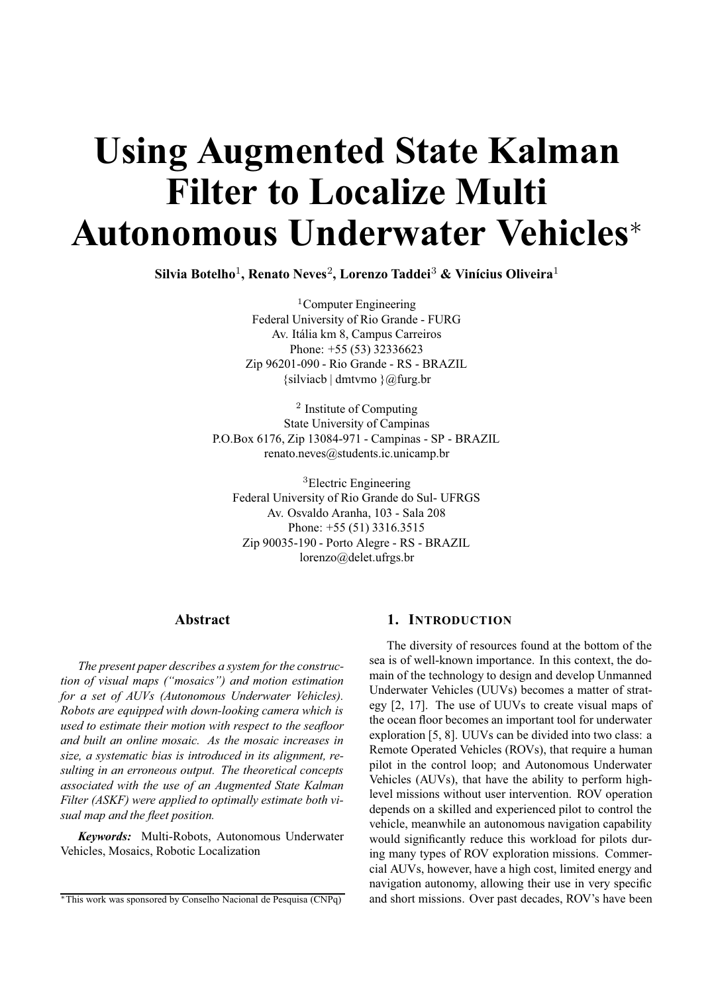# **Using Augmented State Kalman Filter to Localize Multi Autonomous Underwater Vehicles**<sup>∗</sup>

**Silvia Botelho**1**, Renato Neves**2**, Lorenzo Taddei**<sup>3</sup> **& Vinícius Oliveira**<sup>1</sup>

<sup>1</sup>Computer Engineering Federal University of Rio Grande - FURG Av. Itália km 8, Campus Carreiros Phone: +55 (53) 32336623 Zip 96201-090 - Rio Grande - RS - BRAZIL {silviacb | dmtvmo }@furg.br

<sup>2</sup> Institute of Computing State University of Campinas P.O.Box 6176, Zip 13084-971 - Campinas - SP - BRAZIL renato.neves@students.ic.unicamp.br

<sup>3</sup>Electric Engineering Federal University of Rio Grande do Sul- UFRGS Av. Osvaldo Aranha, 103 - Sala 208 Phone: +55 (51) 3316.3515 Zip 90035-190 - Porto Alegre - RS - BRAZIL lorenzo@delet.ufrgs.br

# **Abstract**

*The present paper describes a system for the construction of visual maps ("mosaics") and motion estimation for a set of AUVs (Autonomous Underwater Vehicles). Robots are equipped with down-looking camera which is used to estimate their motion with respect to the seafloor and built an online mosaic. As the mosaic increases in size, a systematic bias is introduced in its alignment, resulting in an erroneous output. The theoretical concepts associated with the use of an Augmented State Kalman Filter (ASKF) were applied to optimally estimate both visual map and the fleet position.*

*Keywords:* Multi-Robots, Autonomous Underwater Vehicles, Mosaics, Robotic Localization

## **1. INTRODUCTION**

The diversity of resources found at the bottom of the sea is of well-known importance. In this context, the domain of the technology to design and develop Unmanned Underwater Vehicles (UUVs) becomes a matter of strategy [2, 17]. The use of UUVs to create visual maps of the ocean floor becomes an important tool for underwater exploration [5, 8]. UUVs can be divided into two class: a Remote Operated Vehicles (ROVs), that require a human pilot in the control loop; and Autonomous Underwater Vehicles (AUVs), that have the ability to perform highlevel missions without user intervention. ROV operation depends on a skilled and experienced pilot to control the vehicle, meanwhile an autonomous navigation capability would significantly reduce this workload for pilots during many types of ROV exploration missions. Commercial AUVs, however, have a high cost, limited energy and navigation autonomy, allowing their use in very specific and short missions. Over past decades, ROV's have been

<sup>∗</sup>This work was sponsored by Conselho Nacional de Pesquisa (CNPq)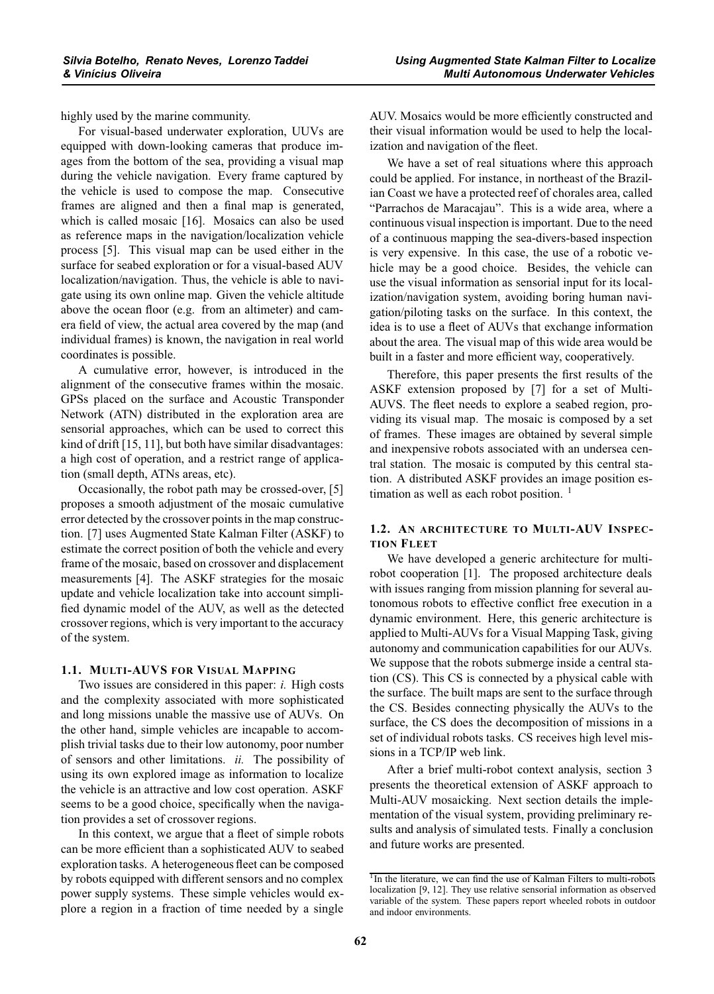highly used by the marine community.

For visual-based underwater exploration, UUVs are equipped with down-looking cameras that produce images from the bottom of the sea, providing a visual map during the vehicle navigation. Every frame captured by the vehicle is used to compose the map. Consecutive frames are aligned and then a final map is generated, which is called mosaic [16]. Mosaics can also be used as reference maps in the navigation/localization vehicle process [5]. This visual map can be used either in the surface for seabed exploration or for a visual-based AUV localization/navigation. Thus, the vehicle is able to navigate using its own online map. Given the vehicle altitude above the ocean floor (e.g. from an altimeter) and camera field of view, the actual area covered by the map (and individual frames) is known, the navigation in real world coordinates is possible.

A cumulative error, however, is introduced in the alignment of the consecutive frames within the mosaic. GPSs placed on the surface and Acoustic Transponder Network (ATN) distributed in the exploration area are sensorial approaches, which can be used to correct this kind of drift [15, 11], but both have similar disadvantages: a high cost of operation, and a restrict range of application (small depth, ATNs areas, etc).

Occasionally, the robot path may be crossed-over, [5] proposes a smooth adjustment of the mosaic cumulative error detected by the crossover points in the map construction. [7] uses Augmented State Kalman Filter (ASKF) to estimate the correct position of both the vehicle and every frame of the mosaic, based on crossover and displacement measurements [4]. The ASKF strategies for the mosaic update and vehicle localization take into account simplified dynamic model of the AUV, as well as the detected crossover regions, which is very important to the accuracy of the system.

## **1.1. MULTI-AUVS FOR VISUAL MAPPING**

Two issues are considered in this paper: *i.* High costs and the complexity associated with more sophisticated and long missions unable the massive use of AUVs. On the other hand, simple vehicles are incapable to accomplish trivial tasks due to their low autonomy, poor number of sensors and other limitations. *ii.* The possibility of using its own explored image as information to localize the vehicle is an attractive and low cost operation. ASKF seems to be a good choice, specifically when the navigation provides a set of crossover regions.

In this context, we argue that a fleet of simple robots can be more efficient than a sophisticated AUV to seabed exploration tasks. A heterogeneous fleet can be composed by robots equipped with different sensors and no complex power supply systems. These simple vehicles would explore a region in a fraction of time needed by a single AUV. Mosaics would be more efficiently constructed and their visual information would be used to help the localization and navigation of the fleet.

We have a set of real situations where this approach could be applied. For instance, in northeast of the Brazilian Coast we have a protected reef of chorales area, called "Parrachos de Maracajau". This is a wide area, where a continuous visual inspection is important. Due to the need of a continuous mapping the sea-divers-based inspection is very expensive. In this case, the use of a robotic vehicle may be a good choice. Besides, the vehicle can use the visual information as sensorial input for its localization/navigation system, avoiding boring human navigation/piloting tasks on the surface. In this context, the idea is to use a fleet of AUVs that exchange information about the area. The visual map of this wide area would be built in a faster and more efficient way, cooperatively.

Therefore, this paper presents the first results of the ASKF extension proposed by [7] for a set of Multi-AUVS. The fleet needs to explore a seabed region, providing its visual map. The mosaic is composed by a set of frames. These images are obtained by several simple and inexpensive robots associated with an undersea central station. The mosaic is computed by this central station. A distributed ASKF provides an image position estimation as well as each robot position.  $\frac{1}{1}$ 

## **1.2. AN ARCHITECTURE TO MULTI-AUV INSPEC-TION FLEET**

We have developed a generic architecture for multirobot cooperation [1]. The proposed architecture deals with issues ranging from mission planning for several autonomous robots to effective conflict free execution in a dynamic environment. Here, this generic architecture is applied to Multi-AUVs for a Visual Mapping Task, giving autonomy and communication capabilities for our AUVs. We suppose that the robots submerge inside a central station (CS). This CS is connected by a physical cable with the surface. The built maps are sent to the surface through the CS. Besides connecting physically the AUVs to the surface, the CS does the decomposition of missions in a set of individual robots tasks. CS receives high level missions in a TCP/IP web link.

After a brief multi-robot context analysis, section 3 presents the theoretical extension of ASKF approach to Multi-AUV mosaicking. Next section details the implementation of the visual system, providing preliminary results and analysis of simulated tests. Finally a conclusion and future works are presented.

<sup>&</sup>lt;sup>1</sup>In the literature, we can find the use of Kalman Filters to multi-robots localization [9, 12]. They use relative sensorial information as observed variable of the system. These papers report wheeled robots in outdoor and indoor environments.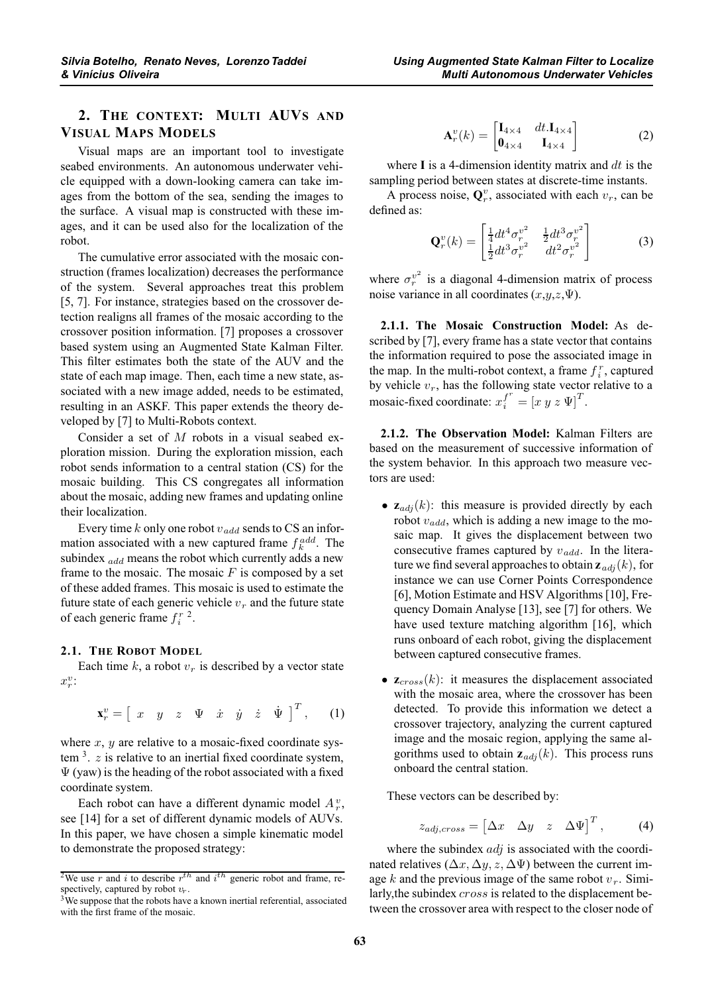# **2. THE CONTEXT: MULTI AUVS AND VISUAL MAPS MODELS**

Visual maps are an important tool to investigate seabed environments. An autonomous underwater vehicle equipped with a down-looking camera can take images from the bottom of the sea, sending the images to the surface. A visual map is constructed with these images, and it can be used also for the localization of the robot.

The cumulative error associated with the mosaic construction (frames localization) decreases the performance of the system. Several approaches treat this problem [5, 7]. For instance, strategies based on the crossover detection realigns all frames of the mosaic according to the crossover position information. [7] proposes a crossover based system using an Augmented State Kalman Filter. This filter estimates both the state of the AUV and the state of each map image. Then, each time a new state, associated with a new image added, needs to be estimated, resulting in an ASKF. This paper extends the theory developed by [7] to Multi-Robots context.

Consider a set of  $M$  robots in a visual seabed exploration mission. During the exploration mission, each robot sends information to a central station (CS) for the mosaic building. This CS congregates all information about the mosaic, adding new frames and updating online their localization.

Every time k only one robot  $v_{add}$  sends to CS an information associated with a new captured frame  $f_k^{add}$ . The subindex  $_{add}$  means the robot which currently adds a new frame to the mosaic. The mosaic  $F$  is composed by a set of these added frames. This mosaic is used to estimate the future state of each generic vehicle  $v_r$  and the future state of each generic frame  $f_i^r$  <sup>2</sup>.

## **2.1. THE ROBOT MODEL**

Each time k, a robot  $v_r$  is described by a vector state  $x_r^v$ :

$$
\mathbf{x}_r^v = \begin{bmatrix} x & y & z & \Psi & \dot{x} & \dot{y} & \dot{z} & \dot{\Psi} \end{bmatrix}^T, \qquad (1)
$$

where  $x$ ,  $y$  are relative to a mosaic-fixed coordinate system  $3. z$  is relative to an inertial fixed coordinate system,  $\Psi$  (yaw) is the heading of the robot associated with a fixed coordinate system.

Each robot can have a different dynamic model  $A_r^v$ , see [14] for a set of different dynamic models of AUVs. In this paper, we have chosen a simple kinematic model to demonstrate the proposed strategy:

$$
\mathbf{A}_r^v(k) = \begin{bmatrix} \mathbf{I}_{4 \times 4} & dt \cdot \mathbf{I}_{4 \times 4} \\ \mathbf{0}_{4 \times 4} & \mathbf{I}_{4 \times 4} \end{bmatrix}
$$
 (2)

where  $\bf{I}$  is a 4-dimension identity matrix and  $dt$  is the sampling period between states at discrete-time instants.

A process noise,  $\mathbf{Q}_r^v$ , associated with each  $v_r$ , can be defined as:

$$
\mathbf{Q}_r^v(k) = \begin{bmatrix} \frac{1}{4} dt^4 \sigma_r^{v^2} & \frac{1}{2} dt^3 \sigma_r^{v^2} \\ \frac{1}{2} dt^3 \sigma_r^{v^2} & dt^2 \sigma_r^{v^2} \end{bmatrix}
$$
(3)

where  $\sigma_r^{v^2}$  is a diagonal 4-dimension matrix of process noise variance in all coordinates  $(x,y,z,\Psi)$ .

**2.1.1. The Mosaic Construction Model:** As described by [7], every frame has a state vector that contains the information required to pose the associated image in the map. In the multi-robot context, a frame  $f_i^r$ , captured by vehicle  $v_r$ , has the following state vector relative to a mosaic-fixed coordinate:  $x_i^f = [x \ y \ z \ \Psi]^T$ .

**2.1.2. The Observation Model:** Kalman Filters are based on the measurement of successive information of the system behavior. In this approach two measure vectors are used:

- $\mathbf{z}_{\text{adj}}(k)$ : this measure is provided directly by each robot  $v_{add}$ , which is adding a new image to the mosaic map. It gives the displacement between two consecutive frames captured by  $v_{add}$ . In the literature we find several approaches to obtain  $z_{adi}(k)$ , for instance we can use Corner Points Correspondence [6], Motion Estimate and HSV Algorithms [10], Frequency Domain Analyse [13], see [7] for others. We have used texture matching algorithm [16], which runs onboard of each robot, giving the displacement between captured consecutive frames.
- $\mathbf{z}_{cross}(k)$ : it measures the displacement associated with the mosaic area, where the crossover has been detected. To provide this information we detect a crossover trajectory, analyzing the current captured image and the mosaic region, applying the same algorithms used to obtain  $z_{adi}(k)$ . This process runs onboard the central station.

These vectors can be described by:

$$
z_{adj,cross} = \begin{bmatrix} \Delta x & \Delta y & z & \Delta \Psi \end{bmatrix}^T, \quad (4)
$$

where the subindex  $adj$  is associated with the coordinated relatives ( $\Delta x, \Delta y, z, \Delta \Psi$ ) between the current image k and the previous image of the same robot  $v_r$ . Similarly, the subindex *cross* is related to the displacement between the crossover area with respect to the closer node of

<sup>&</sup>lt;sup>2</sup>We use r and i to describe  $r^{th}$  and  $i^{th}$  generic robot and frame, respectively, captured by robot  $v_r$ .<br><sup>3</sup>We suppose that the robots have a known inertial referential, associated

with the first frame of the mosaic.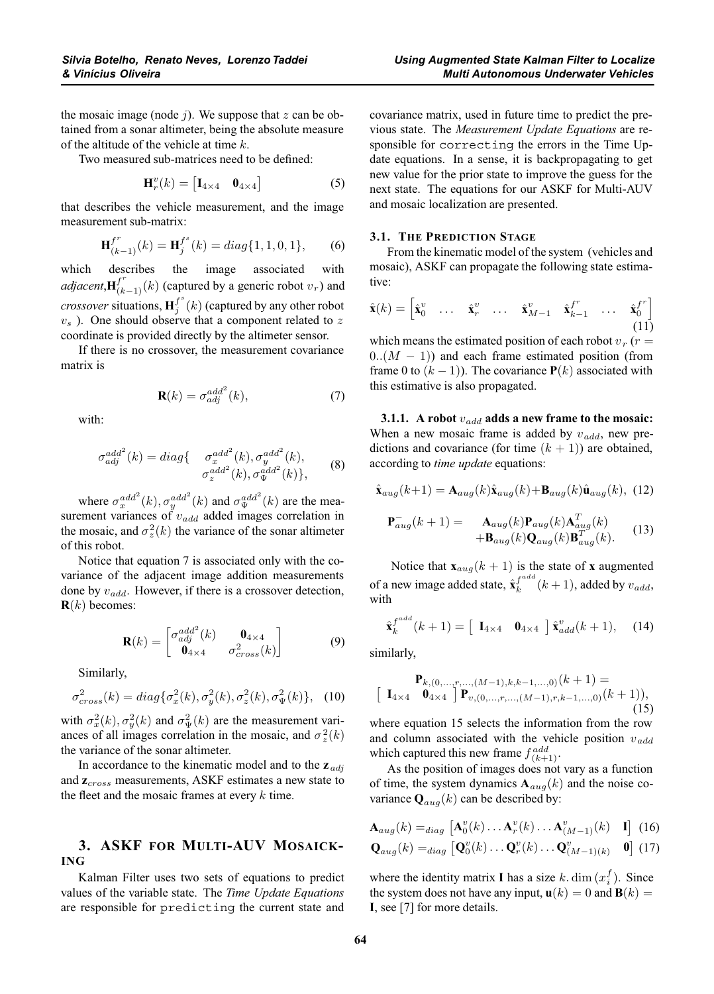the mosaic image (node  $j$ ). We suppose that  $z$  can be obtained from a sonar altimeter, being the absolute measure of the altitude of the vehicle at time k.

Two measured sub-matrices need to be defined:

$$
\mathbf{H}_r^v(k) = \begin{bmatrix} \mathbf{I}_{4 \times 4} & \mathbf{0}_{4 \times 4} \end{bmatrix}
$$
 (5)

that describes the vehicle measurement, and the image measurement sub-matrix:

$$
\mathbf{H}_{(k-1)}^{f^r}(k) = \mathbf{H}_j^{f^s}(k) = diag\{1, 1, 0, 1\},\qquad(6)
$$

which describes the image associated with *adjacent*, $\mathbf{H}_{(k-1)}^{f^r}(k)$  (captured by a generic robot  $v_r$ ) and *crossover* situations,  $\mathbf{H}_j^{f^s}(k)$  (captured by any other robot  $v<sub>s</sub>$ ). One should observe that a component related to z coordinate is provided directly by the altimeter sensor.

If there is no crossover, the measurement covariance matrix is

$$
\mathbf{R}(k) = \sigma_{adj}^{add^2}(k),\tag{7}
$$

with:

$$
\sigma_{adj}^{add^2}(k) = diag\{ \begin{array}{c} \sigma_x^{add^2}(k), \sigma_y^{add^2}(k), \\ \sigma_z^{add^2}(k), \sigma_y^{add^2}(k) \}, \end{array} \tag{8}
$$

where  $\sigma_x^{add^2}(k), \sigma_y^{add^2}(k)$  and  $\sigma_\Psi^{add^2}(k)$  are the measurement variances of  $v_{add}$  added images correlation in the mosaic, and  $\sigma_z^2(k)$  the variance of the sonar altimeter of this robot.

Notice that equation 7 is associated only with the covariance of the adjacent image addition measurements done by  $v_{add}$ . However, if there is a crossover detection,  **becomes:** 

$$
\mathbf{R}(k) = \begin{bmatrix} \sigma_{adj}^{add^2}(k) & \mathbf{0}_{4 \times 4} \\ \mathbf{0}_{4 \times 4} & \sigma_{cross}^2(k) \end{bmatrix}
$$
 (9)

Similarly,

$$
\sigma_{cross}^2(k) = diag\{\sigma_x^2(k), \sigma_y^2(k), \sigma_z^2(k), \sigma_y^2(k)\}, \quad (10)
$$

with  $\sigma_x^2(k)$ ,  $\sigma_y^2(k)$  and  $\sigma_y^2(k)$  are the measurement variances of all images correlation in the mosaic, and  $\sigma_z^2(k)$ the variance of the sonar altimeter.

In accordance to the kinematic model and to the  $z_{adj}$ and  $z_{cross}$  measurements, ASKF estimates a new state to the fleet and the mosaic frames at every  $k$  time.

## **3. ASKF FOR MULTI-AUV MOSAICK- ING**

Kalman Filter uses two sets of equations to predict values of the variable state. The *Time Update Equations* are responsible for predicting the current state and covariance matrix, used in future time to predict the previous state. The *Measurement Update Equations* are responsible for correcting the errors in the Time Update equations. In a sense, it is backpropagating to get new value for the prior state to improve the guess for the next state. The equations for our ASKF for Multi-AUV and mosaic localization are presented.

#### **3.1. THE PREDICTION STAGE**

From the kinematic model of the system (vehicles and mosaic), ASKF can propagate the following state estimative:

$$
\hat{\mathbf{x}}(k) = \begin{bmatrix} \hat{\mathbf{x}}_0^v & \dots & \hat{\mathbf{x}}_r^v & \dots & \hat{\mathbf{x}}_{M-1}^v & \hat{\mathbf{x}}_{k-1}^f & \dots & \hat{\mathbf{x}}_0^f \end{bmatrix}
$$
\n(11)

which means the estimated position of each robot  $v_r$  ( $r =$  $0.(M - 1))$  and each frame estimated position (from frame 0 to  $(k - 1)$ ). The covariance  $P(k)$  associated with this estimative is also propagated.

**3.1.1.** A robot  $v_{add}$  adds a new frame to the mosaic: When a new mosaic frame is added by  $v_{add}$ , new predictions and covariance (for time  $(k + 1)$ ) are obtained, according to *time update* equations:

$$
\hat{\mathbf{x}}_{aug}(k+1) = \mathbf{A}_{aug}(k)\hat{\mathbf{x}}_{aug}(k) + \mathbf{B}_{aug}(k)\hat{\mathbf{u}}_{aug}(k), \tag{12}
$$

$$
\mathbf{P}_{aug}^{-}(k+1) = \mathbf{A}_{aug}(k)\mathbf{P}_{aug}(k)\mathbf{A}_{aug}^{T}(k) + \mathbf{B}_{aug}(k)\mathbf{Q}_{aug}(k)\mathbf{B}_{aug}^{T}(k).
$$
 (13)

Notice that  $\mathbf{x}_{aug}(k+1)$  is the state of **x** augmented of a new image added state,  $\hat{\mathbf{x}}_k^{f^{add}}(k+1)$ , added by  $v_{add}$ , with

$$
\hat{\mathbf{x}}_k^{f^{add}}(k+1) = \left[\begin{array}{cc} \mathbf{I}_{4 \times 4} & \mathbf{0}_{4 \times 4} \end{array}\right] \hat{\mathbf{x}}_{add}^v(k+1), \quad (14)
$$

similarly,

$$
\mathbf{P}_{k,(0,\ldots,r,\ldots,(M-1),k,k-1,\ldots,0)}(k+1) =
$$
  
\n
$$
\left[\begin{array}{cc} \mathbf{I}_{4\times4} & \mathbf{0}_{4\times4} \end{array}\right] \mathbf{P}_{v,(0,\ldots,r,\ldots,(M-1),r,k-1,\ldots,0)}(k+1),
$$
 (15)

where equation 15 selects the information from the row and column associated with the vehicle position  $v_{add}$ which captured this new frame  $f_{(k+1)}^{add}$ .

As the position of images does not vary as a function of time, the system dynamics  $A_{aug}(k)$  and the noise covariance  $\mathbf{Q}_{aug}(k)$  can be described by:

$$
\mathbf{A}_{aug}(k) =_{diag} [\mathbf{A}_0^v(k) \dots \mathbf{A}_r^v(k) \dots \mathbf{A}_{(M-1)}^v(k) \quad \mathbf{I}] \tag{16}
$$
\n
$$
\mathbf{Q}_{aug}(k) =_{diag} [\mathbf{Q}_0^v(k) \dots \mathbf{Q}_r^v(k) \dots \mathbf{Q}_{(M-1)(k)}^v \quad \mathbf{0}] \tag{17}
$$

where the identity matrix **I** has a size  $k$ . dim  $(x_i^f)$ . Since the system does not have any input,  $\mathbf{u}(k)=0$  and  $\mathbf{B}(k)$  = **I**, see [7] for more details.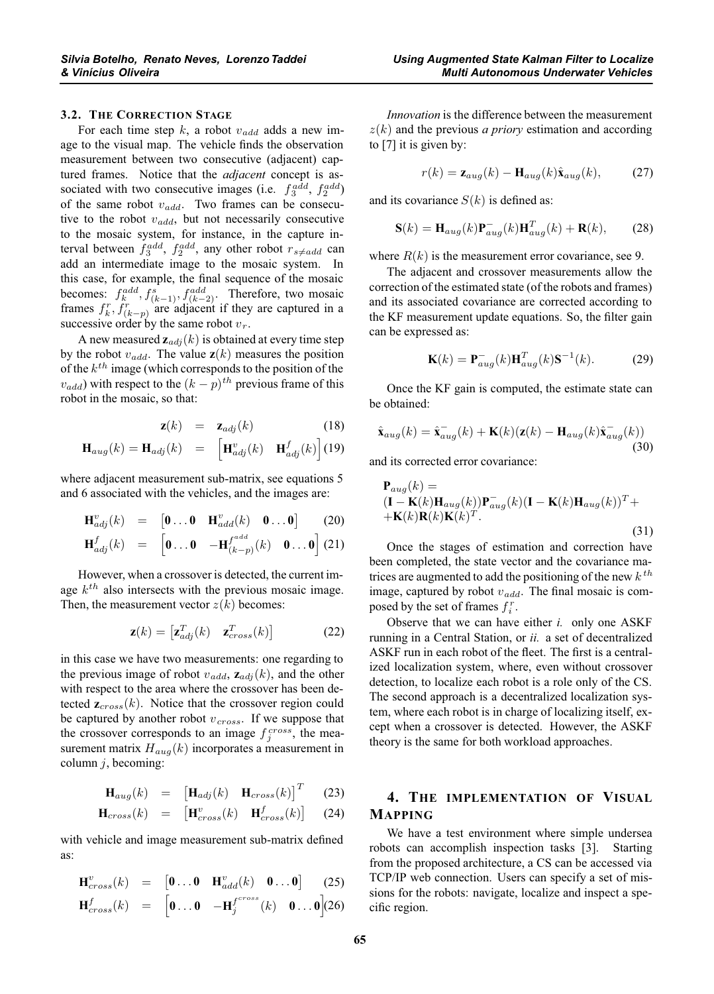## **3.2. THE CORRECTION STAGE**

For each time step  $k$ , a robot  $v_{add}$  adds a new image to the visual map. The vehicle finds the observation measurement between two consecutive (adjacent) captured frames. Notice that the *adjacent* concept is associated with two consecutive images (i.e.  $f_3^{add}$ ,  $f_2^{add}$ ) of the same robot  $v_{add}$ . Two frames can be consecutive to the robot  $v_{add}$ , but not necessarily consecutive to the mosaic system, for instance, in the capture interval between  $f_3^{add}$ ,  $f_2^{add}$ , any other robot  $r_{s \neq add}$  can add an intermediate image to the mosaic system. In this case, for example, the final sequence of the mosaic becomes:  $f_k^{add}, f_{(k-1)}^s, f_{(k-2)}^{add}$ . Therefore, two mosaic frames  $f_k^r, f_{(k-p)}^r$  are adjacent if they are captured in a successive order by the same robot  $v_r$ .

A new measured  $z_{adj}(k)$  is obtained at every time step by the robot  $v_{add}$ . The value  $z(k)$  measures the position of the  $k<sup>th</sup>$  image (which corresponds to the position of the  $v_{add}$ ) with respect to the  $(k - p)^{th}$  previous frame of this robot in the mosaic, so that:

$$
\mathbf{z}(k) = \mathbf{z}_{adj}(k) \tag{18}
$$

$$
\mathbf{H}_{aug}(k) = \mathbf{H}_{adj}(k) = \begin{bmatrix} \mathbf{H}_{adj}^{v}(k) & \mathbf{H}_{adj}^{f}(k) \end{bmatrix} (19)
$$

where adjacent measurement sub-matrix, see equations 5 and 6 associated with the vehicles, and the images are:

$$
\mathbf{H}^v_{adj}(k) = [\mathbf{0} \dots \mathbf{0} \quad \mathbf{H}^v_{add}(k) \quad \mathbf{0} \dots \mathbf{0}] \qquad (20)
$$

$$
\mathbf{H}_{adj}^f(k) = \begin{bmatrix} \mathbf{0} \dots \mathbf{0} & -\mathbf{H}_{(k-p)}^{f^{add}}(k) & \mathbf{0} \dots \mathbf{0} \end{bmatrix} (21)
$$

However, when a crossover is detected, the current image  $k^{th}$  also intersects with the previous mosaic image. Then, the measurement vector  $z(k)$  becomes:

$$
\mathbf{z}(k) = \begin{bmatrix} \mathbf{z}_{adj}^T(k) & \mathbf{z}_{cross}^T(k) \end{bmatrix}
$$
 (22)

in this case we have two measurements: one regarding to the previous image of robot  $v_{add}$ ,  $\mathbf{z}_{add}$  (k), and the other with respect to the area where the crossover has been detected  $\mathbf{z}_{cross}(k)$ . Notice that the crossover region could be captured by another robot  $v_{cross}$ . If we suppose that the crossover corresponds to an image  $f_j^{cross}$ , the measurement matrix  $H_{aug}(k)$  incorporates a measurement in column  $j$ , becoming:

$$
\mathbf{H}_{aug}(k) = \begin{bmatrix} \mathbf{H}_{adj}(k) & \mathbf{H}_{cross}(k) \end{bmatrix}^T \quad (23)
$$

$$
\mathbf{H}_{cross}(k) = [\mathbf{H}_{cross}^{v}(k) \quad \mathbf{H}_{cross}^{f}(k)] \quad (24)
$$

with vehicle and image measurement sub-matrix defined as:

$$
\mathbf{H}^v_{cross}(k) = [\mathbf{0} \dots \mathbf{0} \quad \mathbf{H}^v_{add}(k) \quad \mathbf{0} \dots \mathbf{0}] \qquad (25)
$$

$$
\mathbf{H}^f_{cross}(k) = [\mathbf{0} \dots \mathbf{0} \quad -\mathbf{H}^{f^{cross}}_j(k) \quad \mathbf{0} \dots \mathbf{0}] (26)
$$

*Innovation* is the difference between the measurement  $z(k)$  and the previous *a priory* estimation and according to [7] it is given by:

$$
r(k) = \mathbf{z}_{aug}(k) - \mathbf{H}_{aug}(k)\hat{\mathbf{x}}_{aug}(k), \qquad (27)
$$

and its covariance  $S(k)$  is defined as:

$$
\mathbf{S}(k) = \mathbf{H}_{aug}(k)\mathbf{P}_{aug}^{-}(k)\mathbf{H}_{aug}^{T}(k) + \mathbf{R}(k), \qquad (28)
$$

where  $R(k)$  is the measurement error covariance, see 9.

The adjacent and crossover measurements allow the correction of the estimated state (of the robots and frames) and its associated covariance are corrected according to the KF measurement update equations. So, the filter gain can be expressed as:

$$
\mathbf{K}(k) = \mathbf{P}_{aug}^{-}(k)\mathbf{H}_{aug}^{T}(k)\mathbf{S}^{-1}(k). \tag{29}
$$

Once the KF gain is computed, the estimate state can be obtained:

$$
\hat{\mathbf{x}}_{aug}(k) = \hat{\mathbf{x}}_{aug}^{-}(k) + \mathbf{K}(k)(\mathbf{z}(k) - \mathbf{H}_{aug}(k)\hat{\mathbf{x}}_{aug}^{-}(k))
$$
\n(30)

and its corrected error covariance:

$$
\mathbf{P}_{aug}(k) = \n(\mathbf{I} - \mathbf{K}(k)\mathbf{H}_{aug}(k))\mathbf{P}_{aug}^{-}(k)(\mathbf{I} - \mathbf{K}(k)\mathbf{H}_{aug}(k))^{T} + \n+\mathbf{K}(k)\mathbf{R}(k)\mathbf{K}(k)^{T}.
$$
\n(31)

Once the stages of estimation and correction have been completed, the state vector and the covariance matrices are augmented to add the positioning of the new  $k^{th}$ image, captured by robot  $v_{add}$ . The final mosaic is composed by the set of frames  $f_i^r$ .

Observe that we can have either *i.* only one ASKF running in a Central Station, or *ii.* a set of decentralized ASKF run in each robot of the fleet. The first is a centralized localization system, where, even without crossover detection, to localize each robot is a role only of the CS. The second approach is a decentralized localization system, where each robot is in charge of localizing itself, except when a crossover is detected. However, the ASKF theory is the same for both workload approaches.

# **4. THE IMPLEMENTATION OF VISUAL MAPPING**

We have a test environment where simple undersea robots can accomplish inspection tasks [3]. Starting from the proposed architecture, a CS can be accessed via TCP/IP web connection. Users can specify a set of missions for the robots: navigate, localize and inspect a specific region.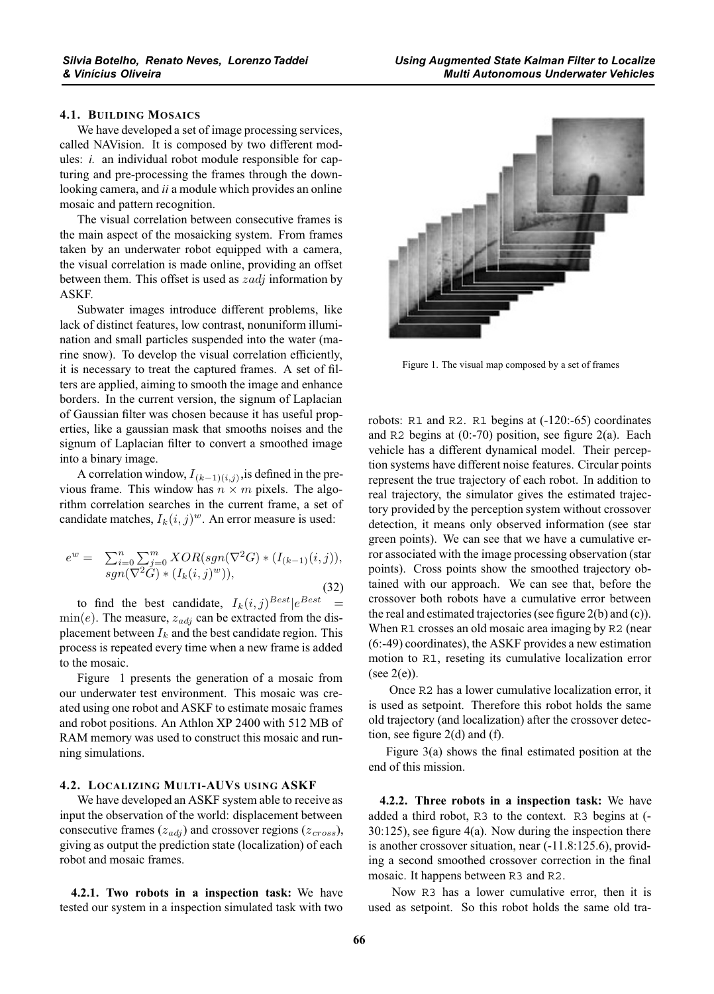## **4.1. BUILDING MOSAICS**

We have developed a set of image processing services, called NAVision. It is composed by two different modules: *i.* an individual robot module responsible for capturing and pre-processing the frames through the downlooking camera, and *ii* a module which provides an online mosaic and pattern recognition.

The visual correlation between consecutive frames is the main aspect of the mosaicking system. From frames taken by an underwater robot equipped with a camera, the visual correlation is made online, providing an offset between them. This offset is used as  $zadj$  information by ASKF.

Subwater images introduce different problems, like lack of distinct features, low contrast, nonuniform illumination and small particles suspended into the water (marine snow). To develop the visual correlation efficiently, it is necessary to treat the captured frames. A set of filters are applied, aiming to smooth the image and enhance borders. In the current version, the signum of Laplacian of Gaussian filter was chosen because it has useful properties, like a gaussian mask that smooths noises and the signum of Laplacian filter to convert a smoothed image into a binary image.

A correlation window,  $I_{(k-1)(i,j)}$ , is defined in the previous frame. This window has  $n \times m$  pixels. The algorithm correlation searches in the current frame, a set of candidate matches,  $I_k(i, j)^w$ . An error measure is used:

$$
e^{w} = \sum_{i=0}^{n} \sum_{j=0}^{m} XOR(sgn(\nabla^{2}G) * (I_{(k-1)}(i, j)),
$$
  
sgn(\nabla^{2}G) \* (I\_{k}(i, j)^{w})), (32)

to find the best candidate,  $I_k(i, j)^{Best} | e^{Best}$  =  $\min(e)$ . The measure,  $z_{adj}$  can be extracted from the displacement between  $I_k$  and the best candidate region. This process is repeated every time when a new frame is added to the mosaic.

Figure 1 presents the generation of a mosaic from our underwater test environment. This mosaic was created using one robot and ASKF to estimate mosaic frames and robot positions. An Athlon XP 2400 with 512 MB of RAM memory was used to construct this mosaic and running simulations.

## **4.2. LOCALIZING MULTI-AUVS USING ASKF**

We have developed an ASKF system able to receive as input the observation of the world: displacement between consecutive frames  $(z_{adi})$  and crossover regions  $(z_{cross})$ , giving as output the prediction state (localization) of each robot and mosaic frames.

**4.2.1. Two robots in a inspection task:** We have tested our system in a inspection simulated task with two



Figure 1. The visual map composed by a set of frames

robots: R1 and R2. R1 begins at (-120:-65) coordinates and R2 begins at  $(0:70)$  position, see figure  $2(a)$ . Each vehicle has a different dynamical model. Their perception systems have different noise features. Circular points represent the true trajectory of each robot. In addition to real trajectory, the simulator gives the estimated trajectory provided by the perception system without crossover detection, it means only observed information (see star green points). We can see that we have a cumulative error associated with the image processing observation (star points). Cross points show the smoothed trajectory obtained with our approach. We can see that, before the crossover both robots have a cumulative error between the real and estimated trajectories (see figure 2(b) and (c)). When R<sub>1</sub> crosses an old mosaic area imaging by R<sub>2</sub> (near (6:-49) coordinates), the ASKF provides a new estimation motion to R1, reseting its cumulative localization error (see  $2(e)$ ).

Once R2 has a lower cumulative localization error, it is used as setpoint. Therefore this robot holds the same old trajectory (and localization) after the crossover detection, see figure 2(d) and (f).

Figure 3(a) shows the final estimated position at the end of this mission.

**4.2.2. Three robots in a inspection task:** We have added a third robot, R3 to the context. R3 begins at (- 30:125), see figure 4(a). Now during the inspection there is another crossover situation, near (-11.8:125.6), providing a second smoothed crossover correction in the final mosaic. It happens between R3 and R2.

Now R3 has a lower cumulative error, then it is used as setpoint. So this robot holds the same old tra-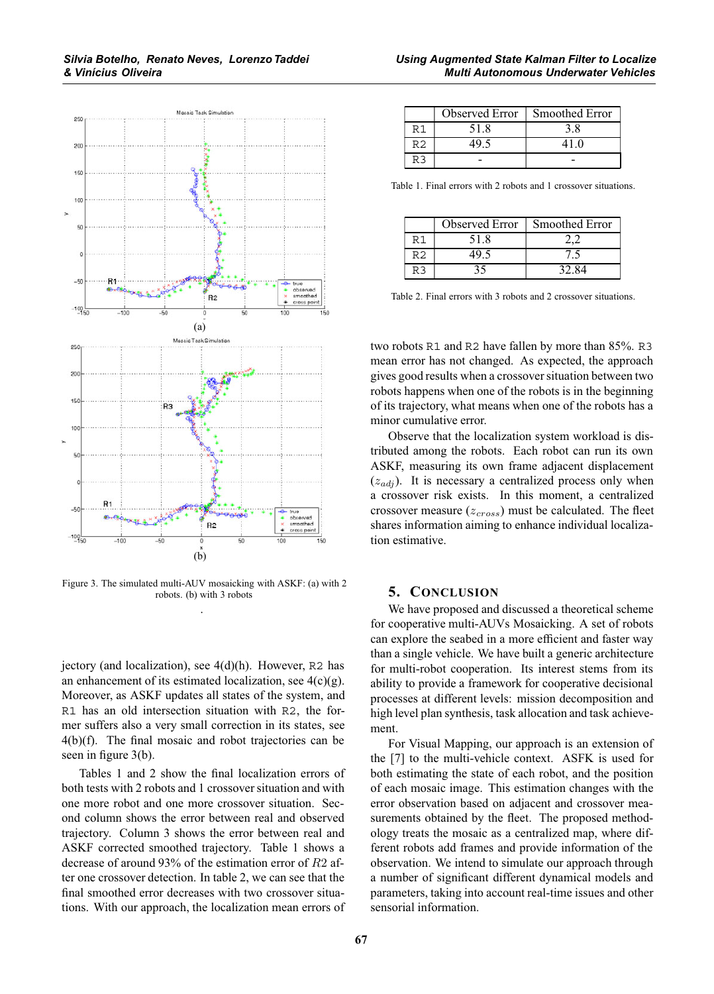

Figure 3. The simulated multi-AUV mosaicking with ASKF: (a) with 2 robots. (b) with 3 robots .

jectory (and localization), see 4(d)(h). However, R2 has an enhancement of its estimated localization, see  $4(c)(g)$ . Moreover, as ASKF updates all states of the system, and R1 has an old intersection situation with R2, the former suffers also a very small correction in its states, see 4(b)(f). The final mosaic and robot trajectories can be seen in figure 3(b).

Tables 1 and 2 show the final localization errors of both tests with 2 robots and 1 crossover situation and with one more robot and one more crossover situation. Second column shows the error between real and observed trajectory. Column 3 shows the error between real and ASKF corrected smoothed trajectory. Table 1 shows a decrease of around 93% of the estimation error of R2 after one crossover detection. In table 2, we can see that the final smoothed error decreases with two crossover situations. With our approach, the localization mean errors of

|     | Observed Error | <b>Smoothed Error</b> |
|-----|----------------|-----------------------|
|     | 51.8           |                       |
| R2  |                | 41.0                  |
| R 3 |                |                       |

Table 1. Final errors with 2 robots and 1 crossover situations.

|    | Observed Error | <b>Smoothed Error</b> |
|----|----------------|-----------------------|
|    | 51.8           |                       |
| Rク |                |                       |
|    |                | 32.84                 |

Table 2. Final errors with 3 robots and 2 crossover situations.

two robots R1 and R2 have fallen by more than 85%. R3 mean error has not changed. As expected, the approach gives good results when a crossover situation between two robots happens when one of the robots is in the beginning of its trajectory, what means when one of the robots has a minor cumulative error.

Observe that the localization system workload is distributed among the robots. Each robot can run its own ASKF, measuring its own frame adjacent displacement  $(z_{adj})$ . It is necessary a centralized process only when a crossover risk exists. In this moment, a centralized crossover measure  $(z_{cross})$  must be calculated. The fleet shares information aiming to enhance individual localization estimative.

### **5. CONCLUSION**

We have proposed and discussed a theoretical scheme for cooperative multi-AUVs Mosaicking. A set of robots can explore the seabed in a more efficient and faster way than a single vehicle. We have built a generic architecture for multi-robot cooperation. Its interest stems from its ability to provide a framework for cooperative decisional processes at different levels: mission decomposition and high level plan synthesis, task allocation and task achievement.

For Visual Mapping, our approach is an extension of the [7] to the multi-vehicle context. ASFK is used for both estimating the state of each robot, and the position of each mosaic image. This estimation changes with the error observation based on adjacent and crossover measurements obtained by the fleet. The proposed methodology treats the mosaic as a centralized map, where different robots add frames and provide information of the observation. We intend to simulate our approach through a number of significant different dynamical models and parameters, taking into account real-time issues and other sensorial information.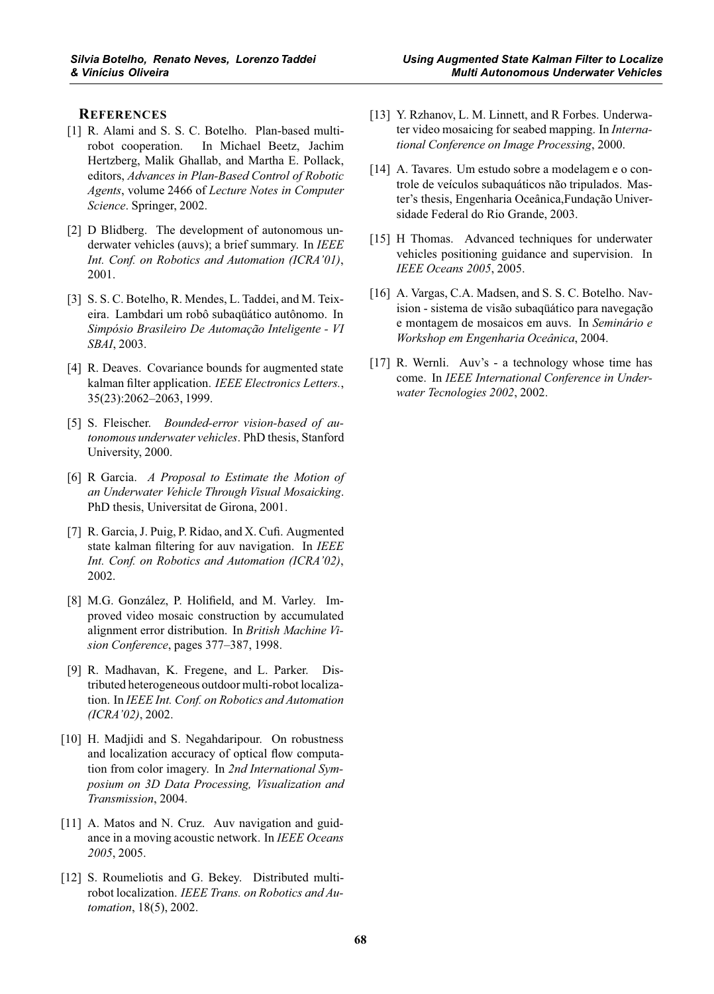## **REFERENCES**

- [1] R. Alami and S. S. C. Botelho. Plan-based multirobot cooperation. In Michael Beetz, Jachim Hertzberg, Malik Ghallab, and Martha E. Pollack, editors, *Advances in Plan-Based Control of Robotic Agents*, volume 2466 of *Lecture Notes in Computer Science*. Springer, 2002.
- [2] D Blidberg. The development of autonomous underwater vehicles (auvs); a brief summary. In *IEEE Int. Conf. on Robotics and Automation (ICRA'01)*, 2001.
- [3] S. S. C. Botelho, R. Mendes, L. Taddei, and M. Teixeira. Lambdari um robô subaqüático autônomo. In *Simpósio Brasileiro De Automação Inteligente - VI SBAI*, 2003.
- [4] R. Deaves. Covariance bounds for augmented state kalman filter application. *IEEE Electronics Letters.*, 35(23):2062–2063, 1999.
- [5] S. Fleischer. *Bounded-error vision-based of autonomous underwater vehicles*. PhD thesis, Stanford University, 2000.
- [6] R Garcia. *A Proposal to Estimate the Motion of an Underwater Vehicle Through Visual Mosaicking*. PhD thesis, Universitat de Girona, 2001.
- [7] R. Garcia, J. Puig, P. Ridao, and X. Cufi. Augmented state kalman filtering for auv navigation. In *IEEE Int. Conf. on Robotics and Automation (ICRA'02)*, 2002.
- [8] M.G. González, P. Holifield, and M. Varley. Improved video mosaic construction by accumulated alignment error distribution. In *British Machine Vision Conference*, pages 377–387, 1998.
- [9] R. Madhavan, K. Fregene, and L. Parker. Distributed heterogeneous outdoor multi-robot localization. In *IEEE Int. Conf. on Robotics and Automation (ICRA'02)*, 2002.
- [10] H. Madjidi and S. Negahdaripour. On robustness and localization accuracy of optical flow computation from color imagery. In *2nd International Symposium on 3D Data Processing, Visualization and Transmission*, 2004.
- [11] A. Matos and N. Cruz. Auv navigation and guidance in a moving acoustic network. In *IEEE Oceans 2005*, 2005.
- [12] S. Roumeliotis and G. Bekey. Distributed multirobot localization. *IEEE Trans. on Robotics and Automation*, 18(5), 2002.
- [13] Y. Rzhanov, L. M. Linnett, and R Forbes. Underwater video mosaicing for seabed mapping. In *International Conference on Image Processing*, 2000.
- [14] A. Tavares. Um estudo sobre a modelagem e o controle de veículos subaquáticos não tripulados. Master's thesis, Engenharia Oceânica,Fundação Universidade Federal do Rio Grande, 2003.
- [15] H Thomas. Advanced techniques for underwater vehicles positioning guidance and supervision. In *IEEE Oceans 2005*, 2005.
- [16] A. Vargas, C.A. Madsen, and S. S. C. Botelho. Navision - sistema de visão subaqüático para navegação e montagem de mosaicos em auvs. In *Seminário e Workshop em Engenharia Oceânica*, 2004.
- [17] R. Wernli. Auv's a technology whose time has come. In *IEEE International Conference in Underwater Tecnologies 2002*, 2002.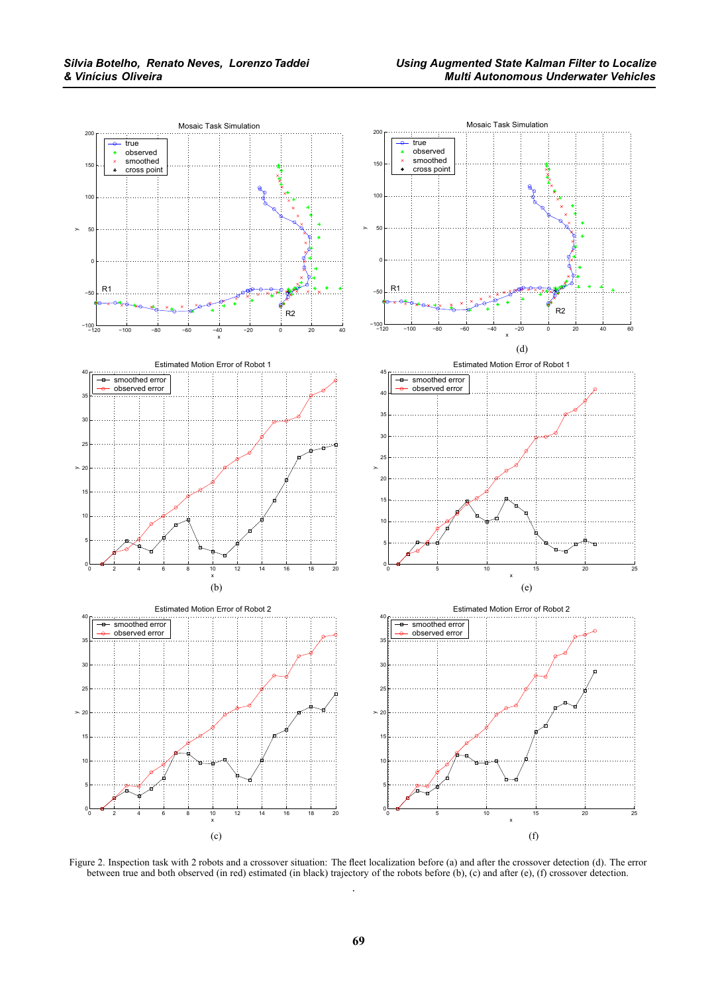

Figure 2. Inspection task with 2 robots and a crossover situation: The fleet localization before (a) and after the crossover detection (d). The error between true and both observed (in red) estimated (in black) trajectory of the robots before (b), (c) and after (e), (f) crossover detection. .